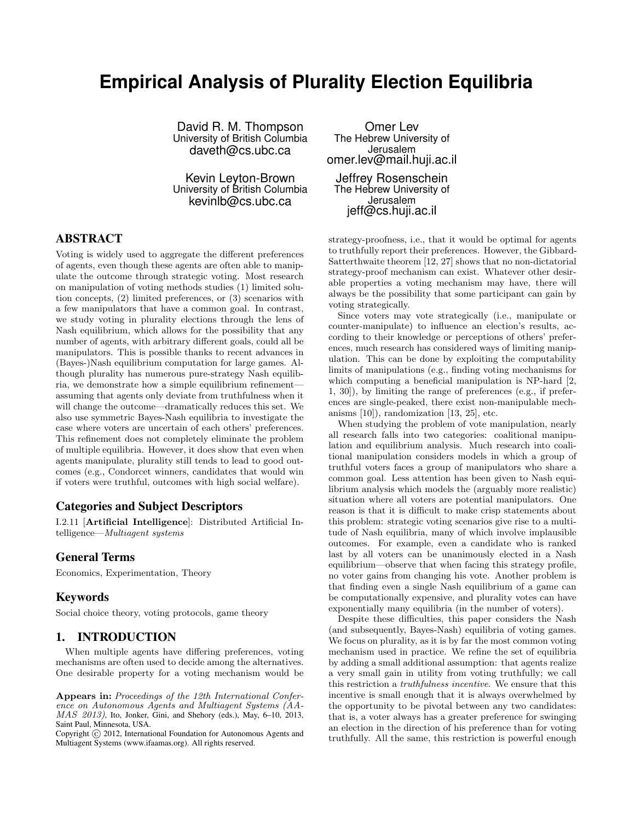# **Empirical Analysis of Plurality Election Equilibria**

David R. M. Thompson University of British Columbia daveth@cs.ubc.ca

Kevin Leyton-Brown University of British Columbia kevinlb@cs.ubc.ca

# ABSTRACT

Voting is widely used to aggregate the different preferences of agents, even though these agents are often able to manipulate the outcome through strategic voting. Most research on manipulation of voting methods studies (1) limited solution concepts, (2) limited preferences, or (3) scenarios with a few manipulators that have a common goal. In contrast, we study voting in plurality elections through the lens of Nash equilibrium, which allows for the possibility that any number of agents, with arbitrary different goals, could all be manipulators. This is possible thanks to recent advances in (Bayes-)Nash equilibrium computation for large games. Although plurality has numerous pure-strategy Nash equilibria, we demonstrate how a simple equilibrium refinement assuming that agents only deviate from truthfulness when it will change the outcome—dramatically reduces this set. We also use symmetric Bayes-Nash equilibria to investigate the case where voters are uncertain of each others' preferences. This refinement does not completely eliminate the problem of multiple equilibria. However, it does show that even when agents manipulate, plurality still tends to lead to good outcomes (e.g., Condorcet winners, candidates that would win if voters were truthful, outcomes with high social welfare).

## Categories and Subject Descriptors

I.2.11 [Artificial Intelligence]: Distributed Artificial Intelligence—Multiagent systems

### General Terms

Economics, Experimentation, Theory

### Keywords

Social choice theory, voting protocols, game theory

### 1. INTRODUCTION

When multiple agents have differing preferences, voting mechanisms are often used to decide among the alternatives. One desirable property for a voting mechanism would be

Omer Lev The Hebrew University of Jerusalem omer.lev@mail.huji.ac.il Jeffrey Rosenschein The Hebrew University of Jerusalem jeff@cs.huji.ac.il

strategy-proofness, i.e., that it would be optimal for agents to truthfully report their preferences. However, the Gibbard-Satterthwaite theorem [12, 27] shows that no non-dictatorial strategy-proof mechanism can exist. Whatever other desirable properties a voting mechanism may have, there will always be the possibility that some participant can gain by voting strategically.

Since voters may vote strategically (i.e., manipulate or counter-manipulate) to influence an election's results, according to their knowledge or perceptions of others' preferences, much research has considered ways of limiting manipulation. This can be done by exploiting the computability limits of manipulations (e.g., finding voting mechanisms for which computing a beneficial manipulation is NP-hard [2, 1, 30]), by limiting the range of preferences (e.g., if preferences are single-peaked, there exist non-manipulable mechanisms [10]), randomization [13, 25], etc.

When studying the problem of vote manipulation, nearly all research falls into two categories: coalitional manipulation and equilibrium analysis. Much research into coalitional manipulation considers models in which a group of truthful voters faces a group of manipulators who share a common goal. Less attention has been given to Nash equilibrium analysis which models the (arguably more realistic) situation where all voters are potential manipulators. One reason is that it is difficult to make crisp statements about this problem: strategic voting scenarios give rise to a multitude of Nash equilibria, many of which involve implausible outcomes. For example, even a candidate who is ranked last by all voters can be unanimously elected in a Nash equilibrium—observe that when facing this strategy profile, no voter gains from changing his vote. Another problem is that finding even a single Nash equilibrium of a game can be computationally expensive, and plurality votes can have exponentially many equilibria (in the number of voters).

Despite these difficulties, this paper considers the Nash (and subsequently, Bayes-Nash) equilibria of voting games. We focus on plurality, as it is by far the most common voting mechanism used in practice. We refine the set of equilibria by adding a small additional assumption: that agents realize a very small gain in utility from voting truthfully; we call this restriction a truthfulness incentive. We ensure that this incentive is small enough that it is always overwhelmed by the opportunity to be pivotal between any two candidates: that is, a voter always has a greater preference for swinging an election in the direction of his preference than for voting truthfully. All the same, this restriction is powerful enough

Appears in: Proceedings of the 12th International Conference on Autonomous Agents and Multiagent Systems (AA- $MAS$   $2013$ ), Ito, Jonker, Gini, and Shehory (eds.), May, 6-10, 2013, Saint Paul, Minnesota, USA.

Copyright (C) 2012, International Foundation for Autonomous Agents and Multiagent Systems (www.ifaamas.org). All rights reserved.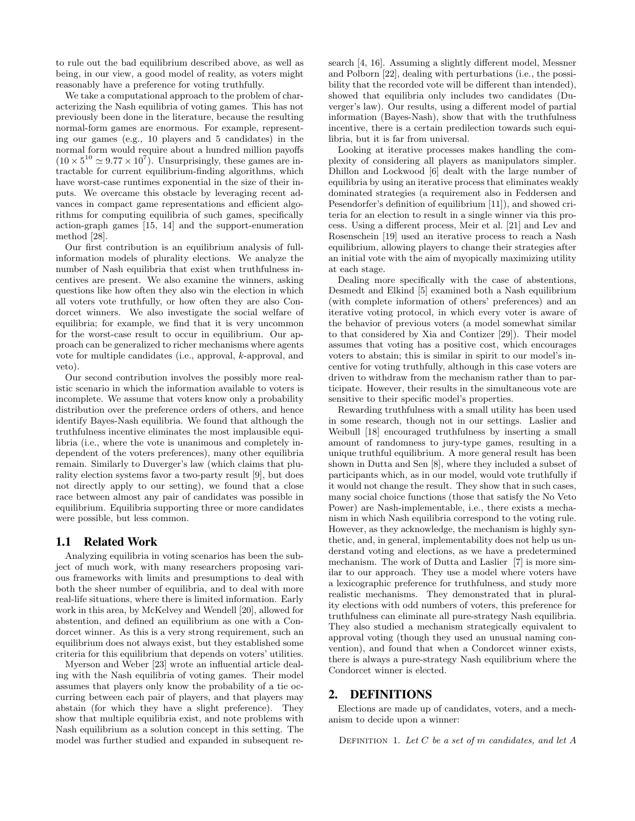to rule out the bad equilibrium described above, as well as being, in our view, a good model of reality, as voters might reasonably have a preference for voting truthfully.

We take a computational approach to the problem of characterizing the Nash equilibria of voting games. This has not previously been done in the literature, because the resulting normal-form games are enormous. For example, representing our games (e.g., 10 players and 5 candidates) in the normal form would require about a hundred million payoffs  $(10 \times 5^{10} \approx 9.77 \times 10^7)$ . Unsurprisingly, these games are intractable for current equilibrium-finding algorithms, which have worst-case runtimes exponential in the size of their inputs. We overcame this obstacle by leveraging recent advances in compact game representations and efficient algorithms for computing equilibria of such games, specifically action-graph games [15, 14] and the support-enumeration method [28].

Our first contribution is an equilibrium analysis of fullinformation models of plurality elections. We analyze the number of Nash equilibria that exist when truthfulness incentives are present. We also examine the winners, asking questions like how often they also win the election in which all voters vote truthfully, or how often they are also Condorcet winners. We also investigate the social welfare of equilibria; for example, we find that it is very uncommon for the worst-case result to occur in equilibrium. Our approach can be generalized to richer mechanisms where agents vote for multiple candidates (i.e., approval, k-approval, and veto).

Our second contribution involves the possibly more realistic scenario in which the information available to voters is incomplete. We assume that voters know only a probability distribution over the preference orders of others, and hence identify Bayes-Nash equilibria. We found that although the truthfulness incentive eliminates the most implausible equilibria (i.e., where the vote is unanimous and completely independent of the voters preferences), many other equilibria remain. Similarly to Duverger's law (which claims that plurality election systems favor a two-party result [9], but does not directly apply to our setting), we found that a close race between almost any pair of candidates was possible in equilibrium. Equilibria supporting three or more candidates were possible, but less common.

### 1.1 Related Work

Analyzing equilibria in voting scenarios has been the subject of much work, with many researchers proposing various frameworks with limits and presumptions to deal with both the sheer number of equilibria, and to deal with more real-life situations, where there is limited information. Early work in this area, by McKelvey and Wendell [20], allowed for abstention, and defined an equilibrium as one with a Condorcet winner. As this is a very strong requirement, such an equilibrium does not always exist, but they established some criteria for this equilibrium that depends on voters' utilities.

Myerson and Weber [23] wrote an influential article dealing with the Nash equilibria of voting games. Their model assumes that players only know the probability of a tie occurring between each pair of players, and that players may abstain (for which they have a slight preference). They show that multiple equilibria exist, and note problems with Nash equilibrium as a solution concept in this setting. The model was further studied and expanded in subsequent research [4, 16]. Assuming a slightly different model, Messner and Polborn [22], dealing with perturbations (i.e., the possibility that the recorded vote will be different than intended), showed that equilibria only includes two candidates (Duverger's law). Our results, using a different model of partial information (Bayes-Nash), show that with the truthfulness incentive, there is a certain predilection towards such equilibria, but it is far from universal.

Looking at iterative processes makes handling the complexity of considering all players as manipulators simpler. Dhillon and Lockwood [6] dealt with the large number of equilibria by using an iterative process that eliminates weakly dominated strategies (a requirement also in Feddersen and Pesendorfer's definition of equilibrium [11]), and showed criteria for an election to result in a single winner via this process. Using a different process, Meir et al. [21] and Lev and Rosenschein [19] used an iterative process to reach a Nash equilibrium, allowing players to change their strategies after an initial vote with the aim of myopically maximizing utility at each stage.

Dealing more specifically with the case of abstentions, Desmedt and Elkind [5] examined both a Nash equilibrium (with complete information of others' preferences) and an iterative voting protocol, in which every voter is aware of the behavior of previous voters (a model somewhat similar to that considered by Xia and Contizer [29]). Their model assumes that voting has a positive cost, which encourages voters to abstain; this is similar in spirit to our model's incentive for voting truthfully, although in this case voters are driven to withdraw from the mechanism rather than to participate. However, their results in the simultaneous vote are sensitive to their specific model's properties.

Rewarding truthfulness with a small utility has been used in some research, though not in our settings. Laslier and Weibull [18] encouraged truthfulness by inserting a small amount of randomness to jury-type games, resulting in a unique truthful equilibrium. A more general result has been shown in Dutta and Sen [8], where they included a subset of participants which, as in our model, would vote truthfully if it would not change the result. They show that in such cases, many social choice functions (those that satisfy the No Veto Power) are Nash-implementable, i.e., there exists a mechanism in which Nash equilibria correspond to the voting rule. However, as they acknowledge, the mechanism is highly synthetic, and, in general, implementability does not help us understand voting and elections, as we have a predetermined mechanism. The work of Dutta and Laslier [7] is more similar to our approach. They use a model where voters have a lexicographic preference for truthfulness, and study more realistic mechanisms. They demonstrated that in plurality elections with odd numbers of voters, this preference for truthfulness can eliminate all pure-strategy Nash equilibria. They also studied a mechanism strategically equivalent to approval voting (though they used an unusual naming convention), and found that when a Condorcet winner exists, there is always a pure-strategy Nash equilibrium where the Condorcet winner is elected.

# 2. DEFINITIONS

Elections are made up of candidates, voters, and a mechanism to decide upon a winner:

DEFINITION 1. Let  $C$  be a set of  $m$  candidates, and let  $A$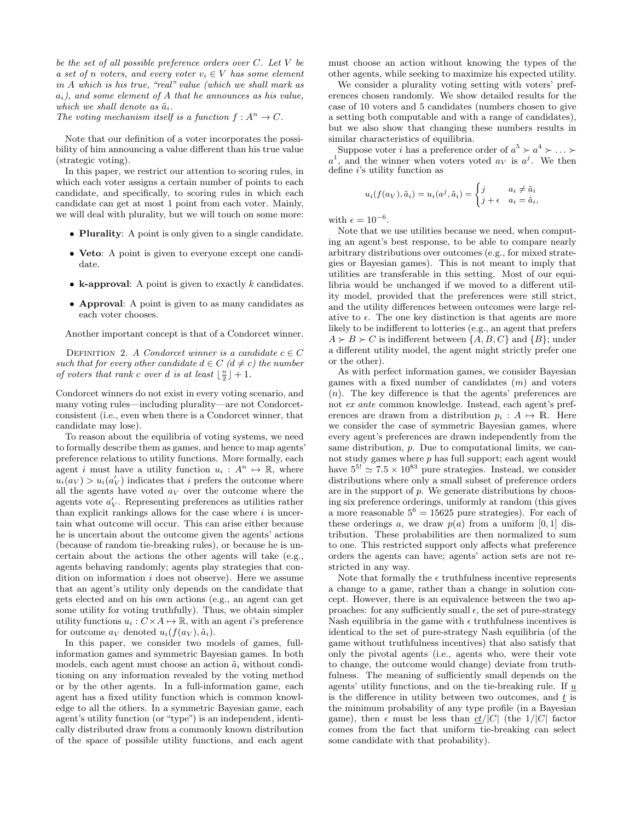be the set of all possible preference orders over  $C$ . Let  $V$  be a set of n voters, and every voter  $v_i \in V$  has some element in A which is his true, "real" value (which we shall mark as  $a_i$ ), and some element of A that he announces as his value, which we shall denote as  $\tilde{a}_i$ .

The voting mechanism itself is a function  $f: A^n \to C$ .

Note that our definition of a voter incorporates the possibility of him announcing a value different than his true value (strategic voting).

In this paper, we restrict our attention to scoring rules, in which each voter assigns a certain number of points to each candidate, and specifically, to scoring rules in which each candidate can get at most 1 point from each voter. Mainly, we will deal with plurality, but we will touch on some more:

- Plurality: A point is only given to a single candidate.
- Veto: A point is given to everyone except one candidate.
- k-approval: A point is given to exactly  $k$  candidates.
- Approval: A point is given to as many candidates as each voter chooses.

Another important concept is that of a Condorcet winner.

DEFINITION 2. A Condorcet winner is a candidate  $c \in C$ such that for every other candidate  $d \in C$  ( $d \neq c$ ) the number of voters that rank c over d is at least  $\lfloor \frac{n}{2} \rfloor + 1$ .

Condorcet winners do not exist in every voting scenario, and many voting rules—including plurality—are not Condorcetconsistent (i.e., even when there is a Condorcet winner, that candidate may lose).

To reason about the equilibria of voting systems, we need to formally describe them as games, and hence to map agents' preference relations to utility functions. More formally, each agent i must have a utility function  $u_i : A^n \mapsto \mathbb{R}$ , where  $u_i(a_V) > u_i(a'_V)$  indicates that i prefers the outcome where all the agents have voted  $a_V$  over the outcome where the agents vote  $a_V'$ . Representing preferences as utilities rather than explicit rankings allows for the case where  $i$  is uncertain what outcome will occur. This can arise either because he is uncertain about the outcome given the agents' actions (because of random tie-breaking rules), or because he is uncertain about the actions the other agents will take (e.g., agents behaving randomly; agents play strategies that condition on information  $i$  does not observe). Here we assume that an agent's utility only depends on the candidate that gets elected and on his own actions (e.g., an agent can get some utility for voting truthfully). Thus, we obtain simpler utility functions  $u_i : C \times A \mapsto \mathbb{R}$ , with an agent i's preference for outcome  $a_V$  denoted  $u_i(f(a_V), \tilde{a}_i)$ .

In this paper, we consider two models of games, fullinformation games and symmetric Bayesian games. In both models, each agent must choose an action  $\tilde{a}_i$  without conditioning on any information revealed by the voting method or by the other agents. In a full-information game, each agent has a fixed utility function which is common knowledge to all the others. In a symmetric Bayesian game, each agent's utility function (or "type") is an independent, identically distributed draw from a commonly known distribution of the space of possible utility functions, and each agent must choose an action without knowing the types of the other agents, while seeking to maximize his expected utility.

We consider a plurality voting setting with voters' preferences chosen randomly. We show detailed results for the case of 10 voters and 5 candidates (numbers chosen to give a setting both computable and with a range of candidates), but we also show that changing these numbers results in similar characteristics of equilibria.

Suppose voter *i* has a preference order of  $a^5 \succ a^4 \succ \ldots \succ$ a <sup>1</sup>, and the winner when voters voted  $a_V$  is  $a^j$ . We then define i's utility function as

$$
u_i(f(a_V), \tilde{a}_i) = u_i(a^j, \tilde{a}_i) = \begin{cases} j & a_i \neq \tilde{a}_i \\ j + \epsilon & a_i = \tilde{a}_i, \end{cases}
$$

with  $\epsilon = 10^{-6}$ .

Note that we use utilities because we need, when computing an agent's best response, to be able to compare nearly arbitrary distributions over outcomes (e.g., for mixed strategies or Bayesian games). This is not meant to imply that utilities are transferable in this setting. Most of our equilibria would be unchanged if we moved to a different utility model, provided that the preferences were still strict, and the utility differences between outcomes were large relative to  $\epsilon$ . The one key distinction is that agents are more likely to be indifferent to lotteries (e.g., an agent that prefers  $A \succ B \succ C$  is indifferent between  $\{A, B, C\}$  and  $\{B\}$ ; under a different utility model, the agent might strictly prefer one or the other).

As with perfect information games, we consider Bayesian games with a fixed number of candidates  $(m)$  and voters (n). The key difference is that the agents' preferences are not ex ante common knowledge. Instead, each agent's preferences are drawn from a distribution  $p_i : A \mapsto \mathbb{R}$ . Here we consider the case of symmetric Bayesian games, where every agent's preferences are drawn independently from the same distribution, p. Due to computational limits, we cannot study games where p has full support; each agent would have  $5^{5!} \approx 7.5 \times 10^{83}$  pure strategies. Instead, we consider distributions where only a small subset of preference orders are in the support of  $p$ . We generate distributions by choosing six preference orderings, uniformly at random (this gives a more reasonable  $5^6 = 15625$  pure strategies). For each of these orderings a, we draw  $p(a)$  from a uniform [0, 1] distribution. These probabilities are then normalized to sum to one. This restricted support only affects what preference orders the agents can have; agents' action sets are not restricted in any way.

Note that formally the  $\epsilon$  truthfulness incentive represents a change to a game, rather than a change in solution concept. However, there is an equivalence between the two approaches: for any sufficiently small  $\epsilon$ , the set of pure-strategy Nash equilibria in the game with  $\epsilon$  truthfulness incentives is identical to the set of pure-strategy Nash equilibria (of the game without truthfulness incentives) that also satisfy that only the pivotal agents (i.e., agents who, were their vote to change, the outcome would change) deviate from truthfulness. The meaning of sufficiently small depends on the agents' utility functions, and on the tie-breaking rule. If  $u$ is the difference in utility between two outcomes, and  $t$  is the minimum probability of any type profile (in a Bayesian game), then  $\epsilon$  must be less than  $\frac{ct}{|C|}$  (the 1/|C| factor comes from the fact that uniform tie-breaking can select some candidate with that probability).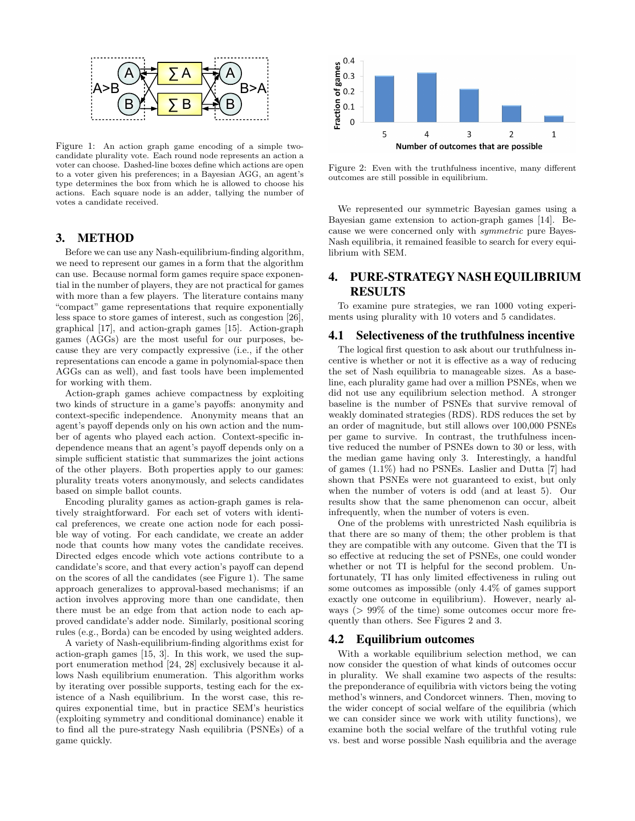

Figure 1: An action graph game encoding of a simple twocandidate plurality vote. Each round node represents an action a voter can choose. Dashed-line boxes define which actions are open to a voter given his preferences; in a Bayesian AGG, an agent's type determines the box from which he is allowed to choose his actions. Each square node is an adder, tallying the number of votes a candidate received.

## 3. METHOD

Before we can use any Nash-equilibrium-finding algorithm, we need to represent our games in a form that the algorithm can use. Because normal form games require space exponential in the number of players, they are not practical for games with more than a few players. The literature contains many "compact" game representations that require exponentially less space to store games of interest, such as congestion [26], graphical [17], and action-graph games [15]. Action-graph games (AGGs) are the most useful for our purposes, because they are very compactly expressive (i.e., if the other representations can encode a game in polynomial-space then AGGs can as well), and fast tools have been implemented for working with them.

Action-graph games achieve compactness by exploiting two kinds of structure in a game's payoffs: anonymity and context-specific independence. Anonymity means that an agent's payoff depends only on his own action and the number of agents who played each action. Context-specific independence means that an agent's payoff depends only on a simple sufficient statistic that summarizes the joint actions of the other players. Both properties apply to our games: plurality treats voters anonymously, and selects candidates based on simple ballot counts.

Encoding plurality games as action-graph games is relatively straightforward. For each set of voters with identical preferences, we create one action node for each possible way of voting. For each candidate, we create an adder node that counts how many votes the candidate receives. Directed edges encode which vote actions contribute to a candidate's score, and that every action's payoff can depend on the scores of all the candidates (see Figure 1). The same approach generalizes to approval-based mechanisms; if an action involves approving more than one candidate, then there must be an edge from that action node to each approved candidate's adder node. Similarly, positional scoring rules (e.g., Borda) can be encoded by using weighted adders.

A variety of Nash-equilibrium-finding algorithms exist for action-graph games [15, 3]. In this work, we used the support enumeration method [24, 28] exclusively because it allows Nash equilibrium enumeration. This algorithm works by iterating over possible supports, testing each for the existence of a Nash equilibrium. In the worst case, this requires exponential time, but in practice SEM's heuristics (exploiting symmetry and conditional dominance) enable it to find all the pure-strategy Nash equilibria (PSNEs) of a game quickly.



Figure 2: Even with the truthfulness incentive, many different outcomes are still possible in equilibrium.

We represented our symmetric Bayesian games using a Bayesian game extension to action-graph games [14]. Because we were concerned only with symmetric pure Bayes-Nash equilibria, it remained feasible to search for every equilibrium with SEM.

# 4. PURE-STRATEGY NASH EQUILIBRIUM RESULTS

To examine pure strategies, we ran 1000 voting experiments using plurality with 10 voters and 5 candidates.

## 4.1 Selectiveness of the truthfulness incentive

The logical first question to ask about our truthfulness incentive is whether or not it is effective as a way of reducing the set of Nash equilibria to manageable sizes. As a baseline, each plurality game had over a million PSNEs, when we did not use any equilibrium selection method. A stronger baseline is the number of PSNEs that survive removal of weakly dominated strategies (RDS). RDS reduces the set by an order of magnitude, but still allows over 100,000 PSNEs per game to survive. In contrast, the truthfulness incentive reduced the number of PSNEs down to 30 or less, with the median game having only 3. Interestingly, a handful of games (1.1%) had no PSNEs. Laslier and Dutta [7] had shown that PSNEs were not guaranteed to exist, but only when the number of voters is odd (and at least 5). Our results show that the same phenomenon can occur, albeit infrequently, when the number of voters is even.

One of the problems with unrestricted Nash equilibria is that there are so many of them; the other problem is that they are compatible with any outcome. Given that the TI is so effective at reducing the set of PSNEs, one could wonder whether or not TI is helpful for the second problem. Unfortunately, TI has only limited effectiveness in ruling out some outcomes as impossible (only 4.4% of games support exactly one outcome in equilibrium). However, nearly always (> 99% of the time) some outcomes occur more frequently than others. See Figures 2 and 3.

#### 4.2 Equilibrium outcomes

With a workable equilibrium selection method, we can now consider the question of what kinds of outcomes occur in plurality. We shall examine two aspects of the results: the preponderance of equilibria with victors being the voting method's winners, and Condorcet winners. Then, moving to the wider concept of social welfare of the equilibria (which we can consider since we work with utility functions), we examine both the social welfare of the truthful voting rule vs. best and worse possible Nash equilibria and the average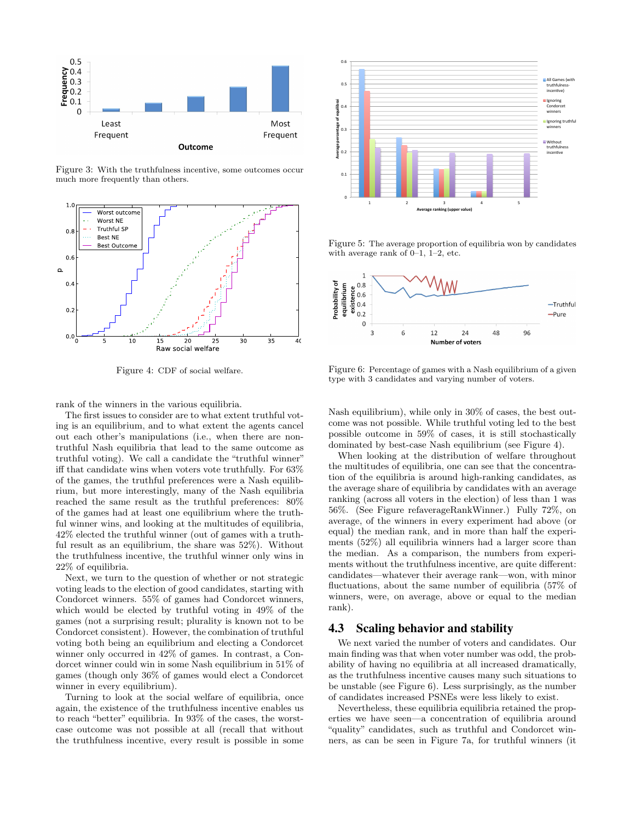

Figure 3: With the truthfulness incentive, some outcomes occur much more frequently than others.



Figure 4: CDF of social welfare.

rank of the winners in the various equilibria.

The first issues to consider are to what extent truthful voting is an equilibrium, and to what extent the agents cancel  $t_{\text{max}}$  is an equinorum, and to what extent the agents cance out each other's manipulations (i.e., when there are nontruthful Nash equilibria that lead to the same outcome as truthful voting). We call a candidate the "truthful winner"  $\mathbf{f}$  that condidate wing when yoters yote truthfully. Ear 620  $^{\circ}$ iff that candidate wins when voters vote truthfully. For  $63\%$ of the games, the truthful preferences were a Nash equilibrium, but more interestingly, many of the Nash equilibria reached the same result as the truthful preferences:  $80\%$ case PSNE, but still state PSNE, but state truthfulness is a state of the state of the state of the state of the state of the state of the state of the state of the state of the state of the state of the state of the state of the games had at least one equilibrium where the truthful winner wins, and looking at the multitudes of equilibria,  $42\%$  elected the truthful winner (out of games with a truththe truthfulness incentive, the truthful winner only wins in Of the 1000 games tested, 931 games had a Condorcet winner. In fact, 204 ful result as an equilibrium, the share was 52%). Without 22% of equilibria.

Next, we turn to the question of whether or not strategic voting leads to the election of good candidates, starting with which would be elected by truthful voting in 49% of the Condorcet winners. 55% of games had Condorcet winners, games (not a surprising result; plurality is known not to be Condorcet consistent). However, the combination of truthful voting both being an equilibrium and electing a Condorcet winner only occurred in 42% of games. In contrast, a Condorcet winner could win in some Nash equilibrium in 51% of games (though only 36% of games would elect a Condorcet winner in every equilibrium).

Turning to look at the social welfare of equilibria, once again, the existence of the truthfulness incentive enables us to reach "better" equilibria. In 93% of the cases, the worstcase outcome was not possible at all (recall that without the truthfulness incentive, every result is possible in some



Figure 5: The average proportion of equilibria won by candidates with average rank of  $0-1$ ,  $1-2$ , etc.



Figure 6: Percentage of games with a Nash equilibrium of a given type with 3 candidates and varying number of voters.

Nash equilibrium), while only in 30% of cases, the best outcome was not possible. While truthful voting led to the best possible outcome in 59% of cases, it is still stochastically dominated by best-case Nash equilibrium (see Figure 4).

When looking at the distribution of welfare throughout the multitudes of equilibria, one can see that the concentration of the equilibria is around high-ranking candidates, as the average share of equilibria by candidates with an average ranking (across all voters in the election) of less than 1 was 56%. (See Figure refaverageRankWinner.) Fully 72%, on average, of the winners in every experiment had above (or equal) the median rank, and in more than half the experiments (52%) all equilibria winners had a larger score than the median. As a comparison, the numbers from experiments without the truthfulness incentive, are quite different: candidates—whatever their average rank—won, with minor fluctuations, about the same number of equilibria (57% of winners, were, on average, above or equal to the median rank).

#### 4.3 Scaling behavior and stability

We next varied the number of voters and candidates. Our main finding was that when voter number was odd, the probability of having no equilibria at all increased dramatically, as the truthfulness incentive causes many such situations to be unstable (see Figure 6). Less surprisingly, as the number of candidates increased PSNEs were less likely to exist.

Nevertheless, these equilibria equilibria retained the properties we have seen—a concentration of equilibria around "quality" candidates, such as truthful and Condorcet winners, as can be seen in Figure 7a, for truthful winners (it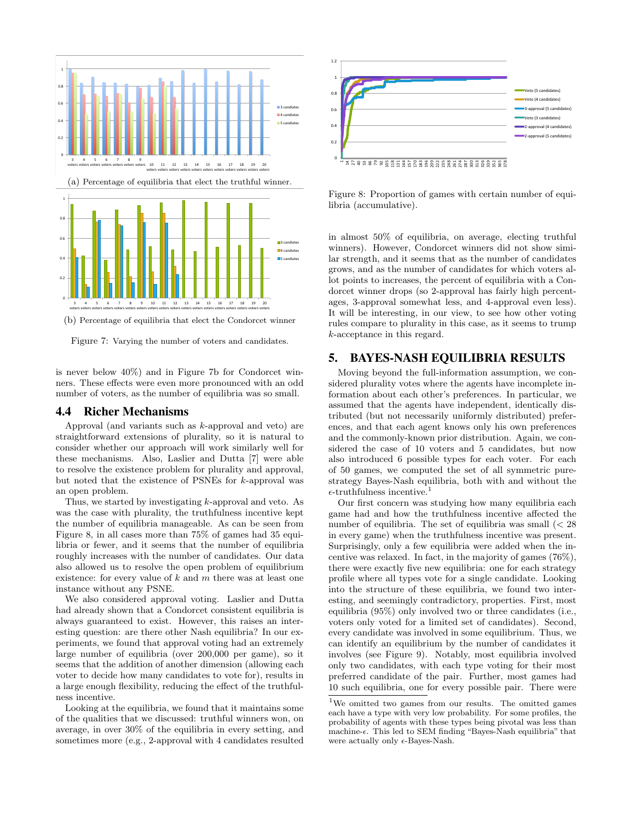

(b) Percentage of equilibria that elect the Condorcet winner

Figure 7: Varying the number of voters and candidates.

is never below 40%) and in Figure 7b for Condorcet winners. These effects were even more pronounced with an odd number of voters, as the number of equilibria was so small.

#### 4.4 Richer Mechanisms

Approval (and variants such as  $k$ -approval and veto) are straightforward extensions of plurality, so it is natural to consider whether our approach will work similarly well for these mechanisms. Also, Laslier and Dutta [7] were able to resolve the existence problem for plurality and approval, but noted that the existence of PSNEs for k-approval was an open problem.

Thus, we started by investigating k-approval and veto. As was the case with plurality, the truthfulness incentive kept the number of equilibria manageable. As can be seen from Figure 8, in all cases more than 75% of games had 35 equilibria or fewer, and it seems that the number of equilibria roughly increases with the number of candidates. Our data also allowed us to resolve the open problem of equilibrium existence: for every value of  $k$  and  $m$  there was at least one instance without any PSNE.

We also considered approval voting. Laslier and Dutta had already shown that a Condorcet consistent equilibria is always guaranteed to exist. However, this raises an interesting question: are there other Nash equilibria? In our experiments, we found that approval voting had an extremely large number of equilibria (over 200,000 per game), so it seems that the addition of another dimension (allowing each voter to decide how many candidates to vote for), results in a large enough flexibility, reducing the effect of the truthfulness incentive.

Looking at the equilibria, we found that it maintains some of the qualities that we discussed: truthful winners won, on average, in over 30% of the equilibria in every setting, and sometimes more (e.g., 2-approval with 4 candidates resulted



Figure 8: Proportion of games with certain number of equilibria (accumulative).

in almost 50% of equilibria, on average, electing truthful winners). However, Condorcet winners did not show similar strength, and it seems that as the number of candidates grows, and as the number of candidates for which voters allot points to increases, the percent of equilibria with a Condorcet winner drops (so 2-approval has fairly high percentages, 3-approval somewhat less, and 4-approval even less). It will be interesting, in our view, to see how other voting rules compare to plurality in this case, as it seems to trump k-acceptance in this regard.

# 5. BAYES-NASH EQUILIBRIA RESULTS

Moving beyond the full-information assumption, we considered plurality votes where the agents have incomplete information about each other's preferences. In particular, we assumed that the agents have independent, identically distributed (but not necessarily uniformly distributed) preferences, and that each agent knows only his own preferences and the commonly-known prior distribution. Again, we considered the case of 10 voters and 5 candidates, but now also introduced 6 possible types for each voter. For each of 50 games, we computed the set of all symmetric purestrategy Bayes-Nash equilibria, both with and without the  $\epsilon$ -truthfulness incentive.<sup>1</sup>

Our first concern was studying how many equilibria each game had and how the truthfulness incentive affected the number of equilibria. The set of equilibria was small  $\langle \, 28 \, \rangle$ in every game) when the truthfulness incentive was present. Surprisingly, only a few equilibria were added when the incentive was relaxed. In fact, in the majority of games (76%), there were exactly five new equilibria: one for each strategy profile where all types vote for a single candidate. Looking into the structure of these equilibria, we found two interesting, and seemingly contradictory, properties. First, most equilibria (95%) only involved two or three candidates (i.e., voters only voted for a limited set of candidates). Second, every candidate was involved in some equilibrium. Thus, we can identify an equilibrium by the number of candidates it involves (see Figure 9). Notably, most equilibria involved only two candidates, with each type voting for their most preferred candidate of the pair. Further, most games had 10 such equilibria, one for every possible pair. There were

<sup>1</sup>We omitted two games from our results. The omitted games each have a type with very low probability. For some profiles, the probability of agents with these types being pivotal was less than machine- $\epsilon$ . This led to SEM finding "Bayes-Nash equilibria" that were actually only  $\epsilon$ -Bayes-Nash.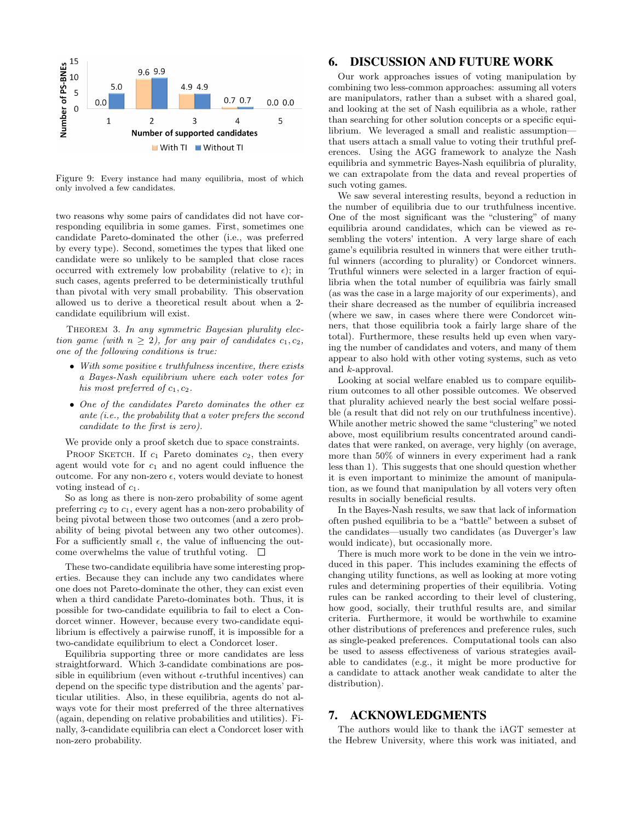

Figure 9: Every instance had many equilibria, most of which only involved a few candidates.

two reasons why some pairs of candidates did not have corresponding equilibria in some games. First, sometimes one candidate Pareto-dominated the other (i.e., was preferred by every type). Second, sometimes the types that liked one candidate were so unlikely to be sampled that close races occurred with extremely low probability (relative to  $\epsilon$ ); in such cases, agents preferred to be deterministically truthful than pivotal with very small probability. This observation allowed us to derive a theoretical result about when a 2 candidate equilibrium will exist.

THEOREM 3. In any symmetric Bayesian plurality election game (with  $n \geq 2$ ), for any pair of candidates  $c_1, c_2$ , one of the following conditions is true:

- With some positive  $\epsilon$  truthfulness incentive, there exists a Bayes-Nash equilibrium where each voter votes for his most preferred of  $c_1, c_2$ .
- One of the candidates Pareto dominates the other ex ante (i.e., the probability that a voter prefers the second candidate to the first is zero).

We provide only a proof sketch due to space constraints.

PROOF SKETCH. If  $c_1$  Pareto dominates  $c_2$ , then every agent would vote for  $c_1$  and no agent could influence the outcome. For any non-zero  $\epsilon$ , voters would deviate to honest voting instead of  $c_1$ .

So as long as there is non-zero probability of some agent preferring  $c_2$  to  $c_1$ , every agent has a non-zero probability of being pivotal between those two outcomes (and a zero probability of being pivotal between any two other outcomes). For a sufficiently small  $\epsilon$ , the value of influencing the outcome overwhelms the value of truthful voting.  $\square$ 

These two-candidate equilibria have some interesting properties. Because they can include any two candidates where one does not Pareto-dominate the other, they can exist even when a third candidate Pareto-dominates both. Thus, it is possible for two-candidate equilibria to fail to elect a Condorcet winner. However, because every two-candidate equilibrium is effectively a pairwise runoff, it is impossible for a two-candidate equilibrium to elect a Condorcet loser.

Equilibria supporting three or more candidates are less straightforward. Which 3-candidate combinations are possible in equilibrium (even without  $\epsilon$ -truthful incentives) can depend on the specific type distribution and the agents' particular utilities. Also, in these equilibria, agents do not always vote for their most preferred of the three alternatives (again, depending on relative probabilities and utilities). Finally, 3-candidate equilibria can elect a Condorcet loser with non-zero probability.

# 6. DISCUSSION AND FUTURE WORK

Our work approaches issues of voting manipulation by combining two less-common approaches: assuming all voters are manipulators, rather than a subset with a shared goal, and looking at the set of Nash equilibria as a whole, rather than searching for other solution concepts or a specific equilibrium. We leveraged a small and realistic assumption that users attach a small value to voting their truthful preferences. Using the AGG framework to analyze the Nash equilibria and symmetric Bayes-Nash equilibria of plurality, we can extrapolate from the data and reveal properties of such voting games.

We saw several interesting results, beyond a reduction in the number of equilibria due to our truthfulness incentive. One of the most significant was the "clustering" of many equilibria around candidates, which can be viewed as resembling the voters' intention. A very large share of each game's equilibria resulted in winners that were either truthful winners (according to plurality) or Condorcet winners. Truthful winners were selected in a larger fraction of equilibria when the total number of equilibria was fairly small (as was the case in a large majority of our experiments), and their share decreased as the number of equilibria increased (where we saw, in cases where there were Condorcet winners, that those equilibria took a fairly large share of the total). Furthermore, these results held up even when varying the number of candidates and voters, and many of them appear to also hold with other voting systems, such as veto and k-approval.

Looking at social welfare enabled us to compare equilibrium outcomes to all other possible outcomes. We observed that plurality achieved nearly the best social welfare possible (a result that did not rely on our truthfulness incentive). While another metric showed the same "clustering" we noted above, most equilibrium results concentrated around candidates that were ranked, on average, very highly (on average, more than 50% of winners in every experiment had a rank less than 1). This suggests that one should question whether it is even important to minimize the amount of manipulation, as we found that manipulation by all voters very often results in socially beneficial results.

In the Bayes-Nash results, we saw that lack of information often pushed equilibria to be a "battle" between a subset of the candidates—usually two candidates (as Duverger's law would indicate), but occasionally more.

There is much more work to be done in the vein we introduced in this paper. This includes examining the effects of changing utility functions, as well as looking at more voting rules and determining properties of their equilibria. Voting rules can be ranked according to their level of clustering, how good, socially, their truthful results are, and similar criteria. Furthermore, it would be worthwhile to examine other distributions of preferences and preference rules, such as single-peaked preferences. Computational tools can also be used to assess effectiveness of various strategies available to candidates (e.g., it might be more productive for a candidate to attack another weak candidate to alter the distribution).

# 7. ACKNOWLEDGMENTS

The authors would like to thank the iAGT semester at the Hebrew University, where this work was initiated, and